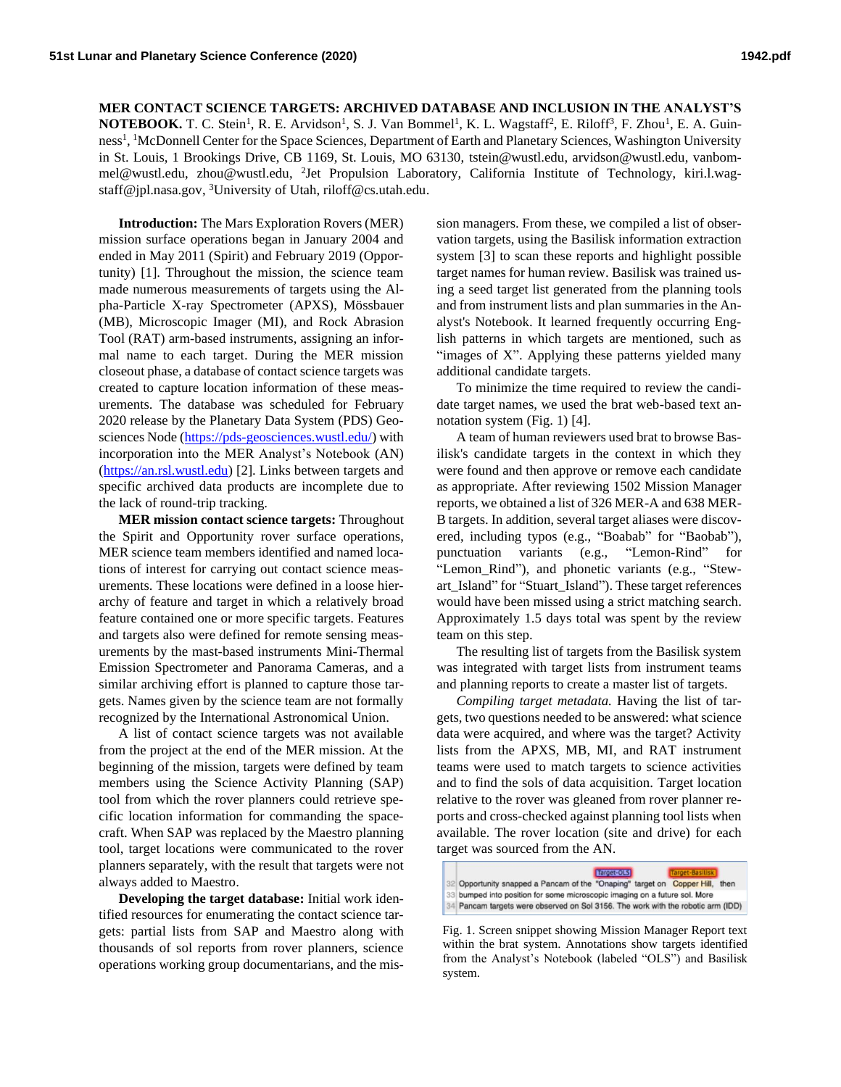## **MER CONTACT SCIENCE TARGETS: ARCHIVED DATABASE AND INCLUSION IN THE ANALYST'S**

**NOTEBOOK.** T. C. Stein<sup>1</sup>, R. E. Arvidson<sup>1</sup>, S. J. Van Bommel<sup>1</sup>, K. L. Wagstaff<sup>2</sup>, E. Riloff<sup>3</sup>, F. Zhou<sup>1</sup>, E. A. Guinness<sup>1</sup>, <sup>1</sup>McDonnell Center for the Space Sciences, Department of Earth and Planetary Sciences, Washington University in St. Louis, 1 Brookings Drive, CB 1169, St. Louis, MO 63130, tstein@wustl.edu, arvidson@wustl.edu, vanbommel@wustl.edu, zhou@wustl.edu, <sup>2</sup>Jet Propulsion Laboratory, California Institute of Technology, kiri.l.wagstaff@jpl.nasa.gov, <sup>3</sup>University of Utah, riloff@cs.utah.edu.

**Introduction:** The Mars Exploration Rovers (MER) mission surface operations began in January 2004 and ended in May 2011 (Spirit) and February 2019 (Opportunity) [1]. Throughout the mission, the science team made numerous measurements of targets using the Alpha-Particle X-ray Spectrometer (APXS), Mössbauer (MB), Microscopic Imager (MI), and Rock Abrasion Tool (RAT) arm-based instruments, assigning an informal name to each target. During the MER mission closeout phase, a database of contact science targets was created to capture location information of these measurements. The database was scheduled for February 2020 release by the Planetary Data System (PDS) Geosciences Node [\(https://pds-geosciences.wustl.edu/\)](https://pds-geosciences.wustl.edu/) with incorporation into the MER Analyst's Notebook (AN) [\(https://an.rsl.wustl.edu\)](https://an.rsl.wustl.edu/) [2]. Links between targets and specific archived data products are incomplete due to the lack of round-trip tracking.

**MER mission contact science targets:** Throughout the Spirit and Opportunity rover surface operations, MER science team members identified and named locations of interest for carrying out contact science measurements. These locations were defined in a loose hierarchy of feature and target in which a relatively broad feature contained one or more specific targets. Features and targets also were defined for remote sensing measurements by the mast-based instruments Mini-Thermal Emission Spectrometer and Panorama Cameras, and a similar archiving effort is planned to capture those targets. Names given by the science team are not formally recognized by the International Astronomical Union.

A list of contact science targets was not available from the project at the end of the MER mission. At the beginning of the mission, targets were defined by team members using the Science Activity Planning (SAP) tool from which the rover planners could retrieve specific location information for commanding the spacecraft. When SAP was replaced by the Maestro planning tool, target locations were communicated to the rover planners separately, with the result that targets were not always added to Maestro.

**Developing the target database:** Initial work identified resources for enumerating the contact science targets: partial lists from SAP and Maestro along with thousands of sol reports from rover planners, science operations working group documentarians, and the mis-

sion managers. From these, we compiled a list of observation targets, using the Basilisk information extraction system [3] to scan these reports and highlight possible target names for human review. Basilisk was trained using a seed target list generated from the planning tools and from instrument lists and plan summaries in the Analyst's Notebook. It learned frequently occurring English patterns in which targets are mentioned, such as "images of X". Applying these patterns yielded many additional candidate targets.

To minimize the time required to review the candidate target names, we used the brat web-based text annotation system (Fig. 1) [4].

A team of human reviewers used brat to browse Basilisk's candidate targets in the context in which they were found and then approve or remove each candidate as appropriate. After reviewing 1502 Mission Manager reports, we obtained a list of 326 MER-A and 638 MER-B targets. In addition, several target aliases were discovered, including typos (e.g., "Boabab" for "Baobab"), punctuation variants (e.g., "Lemon-Rind" for "Lemon\_Rind"), and phonetic variants (e.g., "Stewart\_Island" for "Stuart\_Island"). These target references would have been missed using a strict matching search. Approximately 1.5 days total was spent by the review team on this step.

The resulting list of targets from the Basilisk system was integrated with target lists from instrument teams and planning reports to create a master list of targets.

*Compiling target metadata.* Having the list of targets, two questions needed to be answered: what science data were acquired, and where was the target? Activity lists from the APXS, MB, MI, and RAT instrument teams were used to match targets to science activities and to find the sols of data acquisition. Target location relative to the rover was gleaned from rover planner reports and cross-checked against planning tool lists when available. The rover location (site and drive) for each target was sourced from the AN.



Fig. 1. Screen snippet showing Mission Manager Report text within the brat system. Annotations show targets identified from the Analyst's Notebook (labeled "OLS") and Basilisk system.